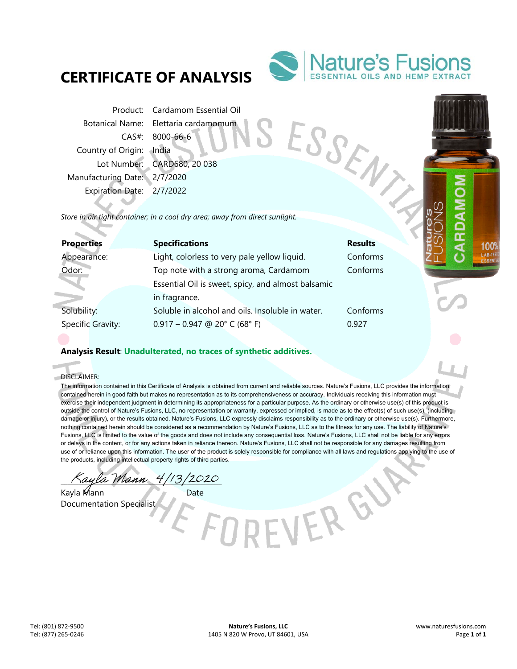## **CERTIFICATE OF ANALYSIS**



Product: Cardamom Essential Oil Botanical Name: Elettaria cardamomum CAS#: 8000-66-6 Country of Origin: India Lot Number: CARD680, 20 038 Manufacturing Date: 2/7/2020 Expiration Date: 2/7/2022 From Botanical Name: Elettaria container<br>
CAS#: 8000-66-6<br>
Country of Origin: India<br>
Lot Number: CARD680, 20 038<br>
Manufacturing Date: 2/7/2020<br>
Expiration Date: 2/7/2022<br>
Store in air tight container; in a cool dry area; a

| <b>Properties</b> | <b>Specifications</b>                              | <b>Results</b> |
|-------------------|----------------------------------------------------|----------------|
| Appearance:       | Light, colorless to very pale yellow liquid.       | Conforms       |
| Odor:             | Top note with a strong aroma, Cardamom             | Conforms       |
|                   | Essential Oil is sweet, spicy, and almost balsamic |                |
|                   | in fragrance.                                      |                |
| Solubility:       | Soluble in alcohol and oils. Insoluble in water.   | Conforms       |
| Specific Gravity: | $0.917 - 0.947$ @ 20° C (68° F)                    | 0.927          |
|                   |                                                    |                |

## **Analysis Result**: **Unadulterated, no traces of synthetic additives.**

DISCLAIMER:

f. ó

> The information contained in this Certificate of Analysis is obtained from current and reliable sources. Nature's Fusions, LLC provides the information contained herein in good faith but makes no representation as to its comprehensiveness or accuracy. Individuals receiving this information must exercise their independent judgment in determining its appropriateness for a particular purpose. As the ordinary or otherwise use(s) of this product is outside the control of Nature's Fusions, LLC, no representation or warranty, expressed or implied, is made as to the effect(s) of such use(s), (including damage or injury), or the results obtained. Nature's Fusions, LLC expressly disclaims responsibility as to the ordinary or otherwise use(s). Furthermore, nothing contained herein should be considered as a recommendation by Nature's Fusions, LLC as to the fitness for any use. The liability of Nature's Fusions, LLC is limited to the value of the goods and does not include any consequential loss. Nature's Fusions, LLC shall not be liable for any errors or delays in the content, or for any actions taken in reliance thereon. Nature's Fusions, LLC shall not be responsible for any damages resulting from use of or reliance upon this information. The user of the product is solely responsible for compliance with all laws and regulations applying to the use of the products, including intellectual property rights of third parties.

> > EVER GU

Kayla Mann 4/13/2020

Kayla Mann Date Documentation Specialist

100